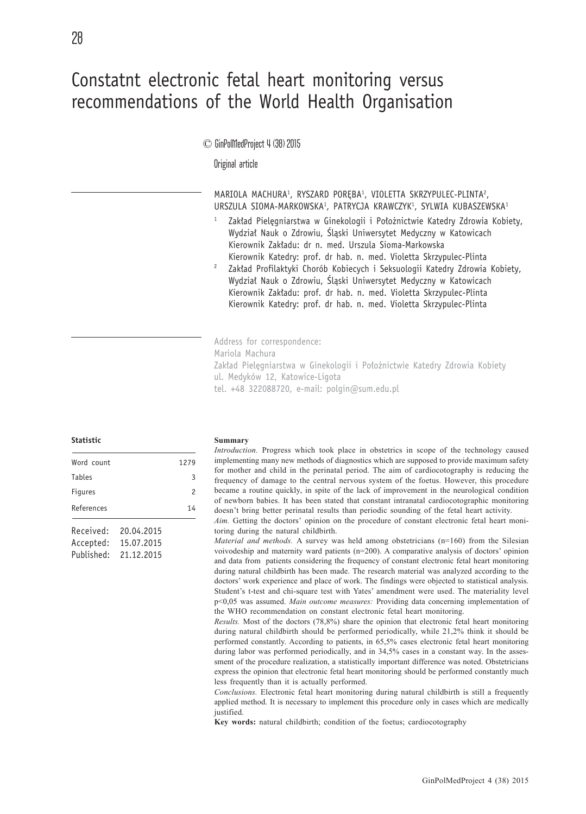# Constatnt electronic fetal heart monitoring versus recommendations of the World Health Organisation

## © GinPolMedProject 4 (38) 2015

Original article

MARIOLA MACHURA<sup>1</sup>, RYSZARD PORĘBA<sup>1</sup>, VIOLETTA SKRZYPULEC-PLINTA<sup>2</sup>, URSZULA SIOMA-MARKOWSKA1, PATRYCJA KRAWCZYK1, SYLWIA KUBASZEWSKA1

- Zakład Pielęgniarstwa w Ginekologii i Położnictwie Katedry Zdrowia Kobiety, Wydział Nauk o Zdrowiu, Śląski Uniwersytet Medyczny w Katowicach Kierownik Zakładu: dr n. med. Urszula Sioma-Markowska Kierownik Katedry: prof. dr hab. n. med. Violetta Skrzypulec-Plinta
- <sup>2</sup> Zakład Profilaktyki Chorób Kobiecych i Seksuologii Katedry Zdrowia Kobiety, Wydział Nauk o Zdrowiu, Śląski Uniwersytet Medyczny w Katowicach Kierownik Zakładu: prof. dr hab. n. med. Violetta Skrzypulec-Plinta Kierownik Katedry: prof. dr hab. n. med. Violetta Skrzypulec-Plinta

Address for correspondence: Mariola Machura Zakład Pielęgniarstwa w Ginekologii i Położnictwie Katedry Zdrowia Kobiety ul. Medyków 12, Katowice-Ligota tel. +48 322088720, e-mail: polgin@sum.edu.pl

**Statistic**

| Word count     |            | 1279 |
|----------------|------------|------|
| <b>Tables</b>  |            | 3    |
| <b>Figures</b> |            | 2    |
| References     |            | 14   |
| Received:      | 20.04.2015 |      |
| Accepted:      | 15.07.2015 |      |
| Published:     | 21.12.2015 |      |

#### **Summary**

*Introduction.* Progress which took place in obstetrics in scope of the technology caused implementing many new methods of diagnostics which are supposed to provide maximum safety for mother and child in the perinatal period. The aim of cardiocotography is reducing the frequency of damage to the central nervous system of the foetus. However, this procedure became a routine quickly, in spite of the lack of improvement in the neurological condition of newborn babies. It has been stated that constant intranatal cardiocotographic monitoring doesn't bring better perinatal results than periodic sounding of the fetal heart activity.

*Aim.* Getting the doctors' opinion on the procedure of constant electronic fetal heart monitoring during the natural childbirth.

*Material and methods.* A survey was held among obstetricians (n=160) from the Silesian voivodeship and maternity ward patients (n=200). A comparative analysis of doctors' opinion and data from patients considering the frequency of constant electronic fetal heart monitoring during natural childbirth has been made. The research material was analyzed according to the doctors' work experience and place of work. The findings were objected to statistical analysis. Student's t-test and chi-square test with Yates' amendment were used. The materiality level p<0,05 was assumed. *Main outcome measures:* Providing data concerning implementation of the WHO recommendation on constant electronic fetal heart monitoring.

*Results.* Most of the doctors (78,8%) share the opinion that electronic fetal heart monitoring during natural childbirth should be performed periodically, while 21,2% think it should be performed constantly. According to patients, in 65,5% cases electronic fetal heart monitoring during labor was performed periodically, and in 34,5% cases in a constant way. In the assessment of the procedure realization, a statistically important difference was noted. Obstetricians express the opinion that electronic fetal heart monitoring should be performed constantly much less frequently than it is actually performed.

*Conclusions.* Electronic fetal heart monitoring during natural childbirth is still a frequently applied method. It is necessary to implement this procedure only in cases which are medically justified.

**Key words:** natural childbirth; condition of the foetus; cardiocotography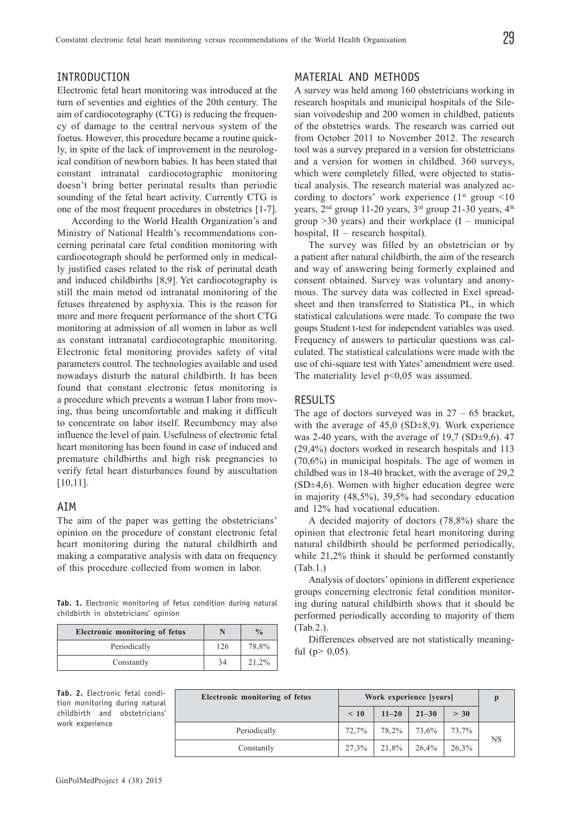# INTRODUCTION

Electronic fetal heart monitoring was introduced at the turn of seventies and eighties of the 20th century. The aim of cardiocotography (CTG) is reducing the frequency of damage to the central nervous system of the foetus. However, this procedure became a routine quickly, in spite of the lack of improvement in the neurological condition of newborn babies. It has been stated that constant intranatal cardiocotographic monitoring doesn't bring better perinatal results than periodic sounding of the fetal heart activity. Currently CTG is one of the most frequent procedures in obstetrics [1-7].

According to the World Health Organization's and Ministry of National Health's recommendations concerning perinatal care fetal condition monitoring with cardiocotograph should be performed only in medically justified cases related to the risk of perinatal death and induced childbirths [8,9]. Yet cardiocotography is still the main metod od intranatal monitoring of the fetuses threatened by asphyxia. This is the reason for more and more frequent performance of the short CTG monitoring at admission of all women in labor as well as constant intranatal cardiocotographic monitoring. Electronic fetal monitoring provides safety of vital parameters control. The technologies available and used nowadays disturb the natural childbirth. It has been found that constant electronic fetus monitoring is a procedure which prevents a woman I labor from moving, thus being uncomfortable and making it difficult to concentrate on labor itself. Recumbency may also influence the level of pain. Usefulness of electronic fetal heart monitoring has been found in case of induced and premature childbirths and high risk pregnancies to verify fetal heart disturbances found by auscultation [10,11].

## AIM

The aim of the paper was getting the obstetricians' opinion on the procedure of constant electronic fetal heart monitoring during the natural childbirth and making a comparative analysis with data on frequency of this procedure collected from women in labor.

**Tab. 1.** Electronic monitoring of fetus condition during natural childbirth in obstetricians' opinion

| <b>Electronic monitoring of fetus</b> |     | $\frac{0}{0}$ |
|---------------------------------------|-----|---------------|
| Periodically                          | 126 | 78,8%         |
| Constantly                            | 34  | 21,2%         |

## MATERIAL AND METHODS

A survey was held among 160 obstetricians working in research hospitals and municipal hospitals of the Silesian voivodeship and 200 women in childbed, patients of the obstetrics wards. The research was carried out from October 2011 to November 2012. The research tool was a survey prepared in a version for obstetricians and a version for women in childbed. 360 surveys, which were completely filled, were objected to statistical analysis. The research material was analyzed according to doctors' work experience  $(1^{st}$  group  $\leq 10$ years, 2<sup>nd</sup> group 11-20 years, 3<sup>rd</sup> group 21-30 years, 4<sup>th</sup> group  $>30$  years) and their workplace  $(I -$  municipal hospital, II – research hospital).

The survey was filled by an obstetrician or by a patient after natural childbirth, the aim of the research and way of answering being formerly explained and consent obtained. Survey was voluntary and anonymous. The survey data was collected in Exel spreadsheet and then transferred to Statistica PL, in which statistical calculations were made. To compare the two goups Student t-test for independent variables was used. Frequency of answers to particular questions was calculated. The statistical calculations were made with the use of chi-square test with Yates' amendment were used. The materiality level  $p<0.05$  was assumed.

# RESULTS

The age of doctors surveyed was in  $27 - 65$  bracket, with the average of 45,0 (SD $\pm$ 8,9). Work experience was 2-40 years, with the average of  $19.7$  (SD $\pm$ 9,6). 47 (29,4%) doctors worked in research hospitals and 113 (70,6%) in municipal hospitals. The age of women in childbed was in 18-40 bracket, with the average of 29,2 (SD±4,6). Women with higher education degree were in majority (48,5%), 39,5% had secondary education and 12% had vocational education.

A decided majority of doctors (78,8%) share the opinion that electronic fetal heart monitoring during natural childbirth should be performed periodically, while 21,2% think it should be performed constantly (Tab.1.)

Analysis of doctors' opinions in different experience groups concerning electronic fetal condition monitoring during natural childbirth shows that it should be performed periodically according to majority of them (Tab.2.).

Differences observed are not statistically meaningful ( $p > 0.05$ ).

**Tab. 2.** Electronic fetal condition monitoring during natural childbirth and obstetricians' work experience

| Electronic monitoring of fetus | Work experience [years] |                      |           |       |           |  |
|--------------------------------|-------------------------|----------------------|-----------|-------|-----------|--|
|                                | $\leq 10$               | $11 - 20$            | $21 - 30$ | > 30  |           |  |
| Periodically                   | 72,7%                   | 78,2%                | 73,6%     | 73,7% | <b>NS</b> |  |
| Constantly                     |                         | $27,3\%$ 21,8% 26,4% |           | 26,3% |           |  |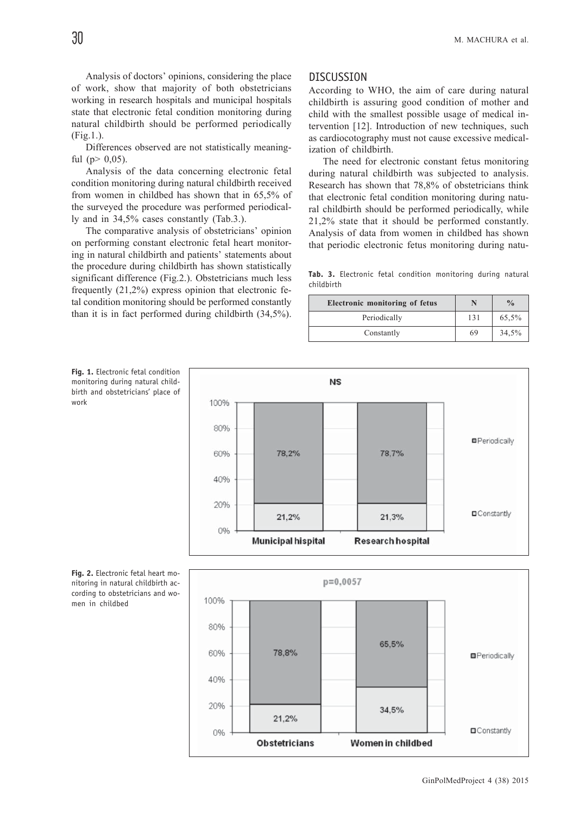work

Analysis of doctors' opinions, considering the place of work, show that majority of both obstetricians working in research hospitals and municipal hospitals state that electronic fetal condition monitoring during natural childbirth should be performed periodically (Fig.1.).

Differences observed are not statistically meaningful ( $p > 0.05$ ).

Analysis of the data concerning electronic fetal condition monitoring during natural childbirth received from women in childbed has shown that in 65,5% of the surveyed the procedure was performed periodically and in 34,5% cases constantly (Tab.3.).

The comparative analysis of obstetricians' opinion on performing constant electronic fetal heart monitoring in natural childbirth and patients' statements about the procedure during childbirth has shown statistically significant difference (Fig.2.). Obstetricians much less frequently (21,2%) express opinion that electronic fetal condition monitoring should be performed constantly than it is in fact performed during childbirth (34,5%).

## DISCUSSION

According to WHO, the aim of care during natural childbirth is assuring good condition of mother and child with the smallest possible usage of medical intervention [12]. Introduction of new techniques, such as cardiocotography must not cause excessive medicalization of childbirth.

The need for electronic constant fetus monitoring during natural childbirth was subjected to analysis. Research has shown that 78,8% of obstetricians think that electronic fetal condition monitoring during natural childbirth should be performed periodically, while 21,2% state that it should be performed constantly. Analysis of data from women in childbed has shown that periodic electronic fetus monitoring during natu-

**Tab. 3.** Electronic fetal condition monitoring during natural childbirth

| <b>Electronic monitoring of fetus</b> |     | $\frac{0}{0}$ |
|---------------------------------------|-----|---------------|
| Periodically                          | 131 | 65,5%         |
| Constantly                            | 69  | 34,5%         |